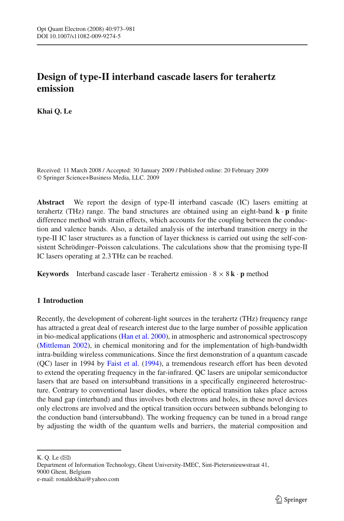# **Design of type-II interband cascade lasers for terahertz emission**

**Khai Q. Le**

Received: 11 March 2008 / Accepted: 30 January 2009 / Published online: 20 February 2009 © Springer Science+Business Media, LLC. 2009

**Abstract** We report the design of type-II interband cascade (IC) lasers emitting at terahertz (THz) range. The band structures are obtained using an eight-band  $\mathbf{k} \cdot \mathbf{p}$  finite difference method with strain effects, which accounts for the coupling between the conduction and valence bands. Also, a detailed analysis of the interband transition energy in the type-II IC laser structures as a function of layer thickness is carried out using the self-consistent Schrödinger–Poisson calculations. The calculations show that the promising type-II IC lasers operating at 2.3 THz can be reached.

**Keywords** Interband cascade laser  $\cdot$  Terahertz emission  $\cdot$  8  $\times$  8 **k**  $\cdot$  **p** method

## **1 Introduction**

Recently, the development of coherent-light sources in the terahertz (THz) frequency range has attracted a great deal of research interest due to the large number of possible application in bio-medical applications [\(Han et al. 2000\)](#page-8-0), in atmospheric and astronomical spectroscopy [\(Mittleman 2002\)](#page-8-1), in chemical monitoring and for the implementation of high-bandwidth intra-building wireless communications. Since the first demonstration of a quantum cascade (QC) laser in 1994 by [Faist et al.](#page-8-2) [\(1994](#page-8-2)), a tremendous research effort has been devoted to extend the operating frequency in the far-infrared. QC lasers are unipolar semiconductor lasers that are based on intersubband transitions in a specifically engineered heterostructure. Contrary to conventional laser diodes, where the optical transition takes place across the band gap (interband) and thus involves both electrons and holes, in these novel devices only electrons are involved and the optical transition occurs between subbands belonging to the conduction band (intersubband). The working frequency can be tuned in a broad range by adjusting the width of the quantum wells and barriers, the material composition and

K. Q. Le  $(\boxtimes)$ 

Department of Information Technology, Ghent University-IMEC, Sint-Pietersnieuwstraat 41, 9000 Ghent, Belgium e-mail: ronaldokhai@yahoo.com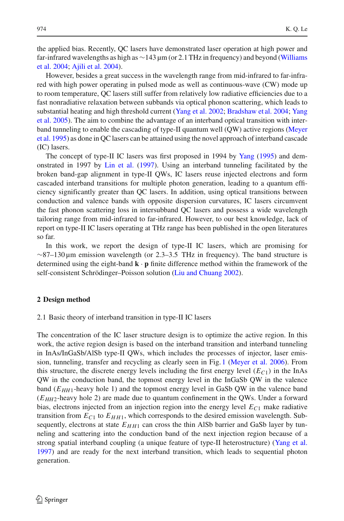the applied bias. Recently, QC lasers have demonstrated laser operation at high power and far-[in](#page-8-3)frared wavelengths as high as  $\sim$ [143](#page-8-3) [µm](#page-8-3) [\(or](#page-8-3) [2.1](#page-8-3) [THz](#page-8-3) in [frequency\)](#page-8-3) [and](#page-8-3) [beyond](#page-8-3) [\(](#page-8-3)Williams et al. [2004;](#page-8-3) [Ajili et al. 2004](#page-8-4)).

However, besides a great success in the wavelength range from mid-infrared to far-infrared with high power operating in pulsed mode as well as continuous-wave (CW) mode up to room temperature, QC lasers still suffer from relatively low radiative efficiencies due to a fast nonradiative relaxation between subbands via optical phonon scattering, which leads to subs[tantial](#page-8-7) [heating](#page-8-7) [and](#page-8-7) [high](#page-8-7) [threshold](#page-8-7) [current](#page-8-7) [\(Yang et al. 2002;](#page-8-5) [Bradshaw et al. 2004;](#page-8-6) Yang et al. [2005\)](#page-8-7). The aim to combine the advantage of an interband optical transition with interban[d](#page-8-8) [tunneling](#page-8-8) [to](#page-8-8) [enable](#page-8-8) [the](#page-8-8) [cascading](#page-8-8) [of](#page-8-8) [type-II](#page-8-8) [quantum](#page-8-8) [well](#page-8-8) [\(QW\)](#page-8-8) [active](#page-8-8) [regions](#page-8-8) [\(](#page-8-8)Meyer et al. [1995](#page-8-8)) as done in QC lasers can be attained using the novel approach of interband cascade (IC) lasers.

The concept of type-II IC lasers was first proposed in 1994 by [Yang](#page-8-9) [\(1995](#page-8-9)) and demonstrated in 1997 by [Lin et al.](#page-8-10) [\(1997](#page-8-10)). Using an interband tunneling facilitated by the broken band-gap alignment in type-II QWs, IC lasers reuse injected electrons and form cascaded interband transitions for multiple photon generation, leading to a quantum efficiency significantly greater than QC lasers. In addition, using optical transitions between conduction and valence bands with opposite dispersion curvatures, IC lasers circumvent the fast phonon scattering loss in intersubband QC lasers and possess a wide wavelength tailoring range from mid-infrared to far-infrared. However, to our best knowledge, lack of report on type-II IC lasers operating at THz range has been published in the open literatures so far.

In this work, we report the design of type-II IC lasers, which are promising for  $\sim$ 87–130 µm emission wavelength (or 2.3–3.5 THz in frequency). The band structure is determined using the eight-band **k** · **p** finite difference method within the framework of the self-consistent Schrödinger–Poisson solution [\(Liu and Chuang 2002](#page-8-11)).

#### **2 Design method**

#### 2.1 Basic theory of interband transition in type-II IC lasers

The concentration of the IC laser structure design is to optimize the active region. In this work, the active region design is based on the interband transition and interband tunneling in InAs/InGaSb/AlSb type-II QWs, which includes the processes of injector, laser emission, tunneling, transfer and recycling as clearly seen in Fig. [1](#page-2-0) [\(Meyer et al. 2006\)](#page-8-12). From this structure, the discrete energy levels including the first energy level  $(E_C_1)$  in the InAs QW in the conduction band, the topmost energy level in the InGaSb QW in the valence band  $(E_{HH1}$ -heavy hole 1) and the topmost energy level in GaSb QW in the valence band (*EHH*2-heavy hole 2) are made due to quantum confinement in the QWs. Under a forward bias, electrons injected from an injection region into the energy level  $E_{C1}$  make radiative transition from  $E_{C1}$  to  $E_{HH1}$ , which corresponds to the desired emission wavelength. Subsequently, electrons at state  $E_{HH1}$  can cross the thin AlSb barrier and GaSb layer by tunneling and scattering into the conduction band of the next injection region because of a strong spatial interband coupling (a unique feature of type-II heterostructure) [\(Yang et al.](#page-8-13) [1997](#page-8-13)) and are ready for the next interband transition, which leads to sequential photon generation.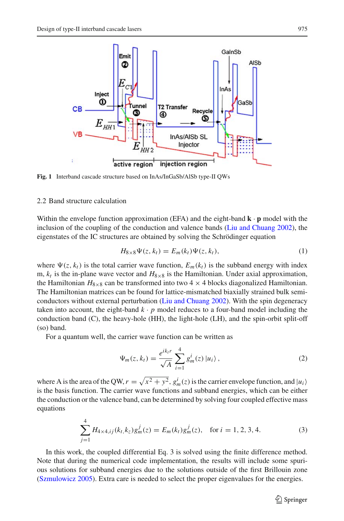

<span id="page-2-0"></span>**Fig. 1** Interband cascade structure based on InAs/InGaSb/AlSb type-II QWs

#### 2.2 Band structure calculation

Within the envelope function approximation (EFA) and the eight-band  $\bf{k} \cdot \bf{p}$  model with the inclusion of the coupling of the conduction and valence bands [\(Liu and Chuang 2002](#page-8-11)), the eigenstates of the IC structures are obtained by solving the Schrödinger equation

$$
H_{8\times 8}\Psi(z,k_t) = E_m(k_t)\Psi(z,k_t),\tag{1}
$$

where  $\Psi(z, k_t)$  is the total carrier wave function,  $E_m(k_t)$  is the subband energy with index m,  $k_t$  is the in-plane wave vector and  $H_{8\times 8}$  is the Hamiltonian. Under axial approximation, the Hamiltonian  $H_{8\times8}$  can be transformed into two 4  $\times$  4 blocks diagonalized Hamiltonian. The Hamiltonian matrices can be found for lattice-mismatched biaxially strained bulk semiconductors without external perturbation [\(Liu and Chuang 2002](#page-8-11)). With the spin degeneracy taken into account, the eight-band  $k \cdot p$  model reduces to a four-band model including the conduction band (C), the heavy-hole (HH), the light-hole (LH), and the spin-orbit split-off (so) band.

For a quantum well, the carrier wave function can be written as

$$
\Psi_m(z, k_t) = \frac{e^{ik_t r}}{\sqrt{A}} \sum_{i=1}^4 g_m^i(z) |u_i\rangle, \qquad (2)
$$

where A is the area of the QW,  $r = \sqrt{x^2 + y^2}$ ,  $g_m^i(z)$  is the carrier envelope function, and  $|u_i\rangle$ is the basis function. The carrier wave functions and subband energies, which can be either the conduction or the valence band, can be determined by solving four coupled effective mass equations

$$
\sum_{j=1}^{4} H_{4\times 4,ij}(k_t, k_z) g_m^j(z) = E_m(k_t) g_m^j(z), \text{ for } i = 1, 2, 3, 4.
$$
 (3)

In this work, the coupled differential Eq. 3 is solved using the finite difference method. Note that during the numerical code implementation, the results will include some spurious solutions for subband energies due to the solutions outside of the first Brillouin zone [\(Szmulowicz 2005](#page-8-14)). Extra care is needed to select the proper eigenvalues for the energies.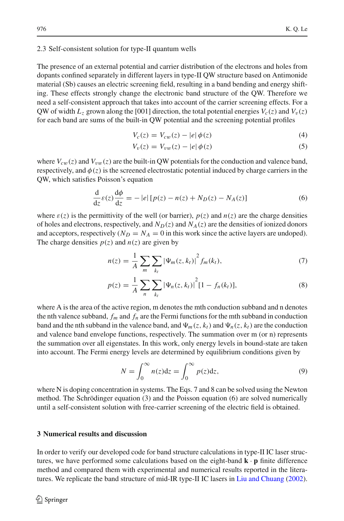### 2.3 Self-consistent solution for type-II quantum wells

The presence of an external potential and carrier distribution of the electrons and holes from dopants confined separately in different layers in type-II QW structure based on Antimonide material (Sb) causes an electric screening field, resulting in a band bending and energy shifting. These effects strongly change the electronic band structure of the QW. Therefore we need a self-consistent approach that takes into account of the carrier screening effects. For a QW of width  $L_z$  grown along the [001] direction, the total potential energies  $V_c(z)$  and  $V_v(z)$ for each band are sums of the built-in QW potential and the screening potential profiles

$$
V_c(z) = V_{cw}(z) - |e| \phi(z)
$$
 (4)

$$
V_v(z) = V_{vw}(z) - |e| \phi(z)
$$
\n<sup>(5)</sup>

where  $V_{cw}(z)$  and  $V_{vw}(z)$  are the built-in QW potentials for the conduction and valence band, respectively, and  $\phi(z)$  is the screened electrostatic potential induced by charge carriers in the QW, which satisfies Poisson's equation

$$
\frac{\mathrm{d}}{\mathrm{d}z}\varepsilon(z)\frac{\mathrm{d}\phi}{\mathrm{d}z} = -\left|e\right|\left[p(z) - n(z) + N_D(z) - N_A(z)\right] \tag{6}
$$

where  $\varepsilon(z)$  is the permittivity of the well (or barrier),  $p(z)$  and  $n(z)$  are the charge densities of holes and electrons, respectively, and  $N_D(z)$  and  $N_A(z)$  are the densities of ionized donors and acceptors, respectively  $(N_D = N_A = 0$  in this work since the active layers are undoped). The charge densities  $p(z)$  and  $n(z)$  are given by

$$
n(z) = \frac{1}{A} \sum_{m} \sum_{k_l} |\Psi_m(z, k_l)|^2 f_m(k_l), \tag{7}
$$

$$
p(z) = \frac{1}{A} \sum_{n} \sum_{k_l} |\Psi_n(z, k_l)|^2 [1 - f_n(k_l)], \qquad (8)
$$

where A is the area of the active region, m denotes the mth conduction subband and n denotes the nth valence subband,  $f_m$  and  $f_n$  are the Fermi functions for the mth subband in conduction band and the nth subband in the valence band, and  $\Psi_m(z, k_t)$  and  $\Psi_n(z, k_t)$  are the conduction and valence band envelope functions, respectively. The summation over m (or n) represents the summation over all eigenstates. In this work, only energy levels in bound-state are taken into account. The Fermi energy levels are determined by equilibrium conditions given by

$$
N = \int_0^\infty n(z)dz = \int_0^\infty p(z)dz,\tag{9}
$$

where N is doping concentration in systems. The Eqs. 7 and 8 can be solved using the Newton method. The Schrödinger equation (3) and the Poisson equation (6) are solved numerically until a self-consistent solution with free-carrier screening of the electric field is obtained.

### **3 Numerical results and discussion**

In order to verify our developed code for band structure calculations in type-II IC laser structures, we have performed some calculations based on the eight-band  $\mathbf{k} \cdot \mathbf{p}$  finite difference method and compared them with experimental and numerical results reported in the literatures. We replicate the band structure of mid-IR type-II IC lasers in [Liu and Chuang](#page-8-11) [\(2002\)](#page-8-11).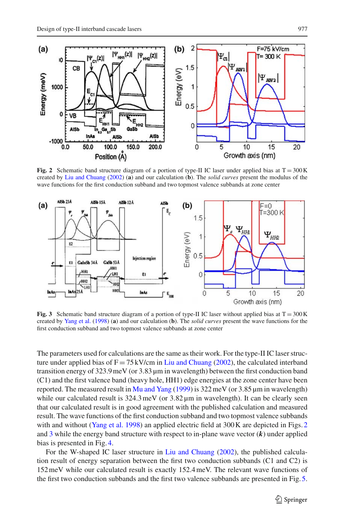

**Fig. 2** Schematic band structure diagram of a portion of type-II IC laser under applied bias at  $T = 300 \text{ K}$ created by [Liu and Chuang](#page-8-11) [\(2002](#page-8-11)) (**a**) and our calculation (**b**). The *solid curves* present the modulus of the wave functions for the first conduction subband and two topmost valence subbands at zone center

<span id="page-4-0"></span>

<span id="page-4-1"></span>**Fig. 3** Schematic band structure diagram of a portion of type-II IC laser without applied bias at  $T = 300 \text{ K}$ created by [Yang et al.](#page-8-15) [\(1998\)](#page-8-15) (**a**) and our calculation (**b**). The *solid curves* present the wave functions for the first conduction subband and two topmost valence subbands at zone center

The parameters used for calculations are the same as their work. For the type-II IC laser structure under applied bias of  $F = 75$  kV/cm in [Liu and Chuang](#page-8-11) [\(2002](#page-8-11)), the calculated interband transition energy of 323.9meV (or 3.83 µm in wavelength) between the first conduction band (C1) and the first valence band (heavy hole, HH1) edge energies at the zone center have been reported. The measured result in [Mu and Yang](#page-8-16)  $(1999)$  $(1999)$  is 322 meV (or 3.85  $\mu$ m in wavelength) while our calculated result is 324.3 meV (or 3.82  $\mu$ m in wavelength). It can be clearly seen that our calculated result is in good agreement with the published calculation and measured result. The wave functions of the first conduction subband and two topmost valence subbands with and without [\(Yang et al. 1998](#page-8-15)) an applied electric field at 300 K are depicted in Figs. [2](#page-4-0) and [3](#page-4-1) while the energy band structure with respect to in-plane wave vector (*k*) under applied bias is presented in Fig. [4.](#page-5-0)

For the W-shaped IC laser structure in [Liu and Chuang](#page-8-11) [\(2002](#page-8-11)), the published calculation result of energy separation between the first two conduction subbands (C1 and C2) is 152meV while our calculated result is exactly 152.4meV. The relevant wave functions of the first two conduction subbands and the first two valence subbands are presented in Fig. [5.](#page-5-1)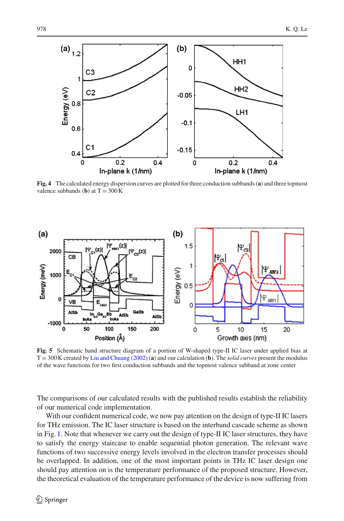

<span id="page-5-0"></span>**Fig. 4** The calculated energy dispersion curves are plotted for three conduction subbands (**a**) and three topmost valence subbands (**b**) at  $T = 300$  K



<span id="page-5-1"></span>**Fig. 5** Schematic band structure diagram of a portion of W-shaped type-II IC laser under applied bias at T = 300 K created by [Liu and Chuang](#page-8-11) [\(2002](#page-8-11)) (**a**) and our calculation (**b**). The *solid curves* present the modulus of the wave functions for two first conduction subbands and the topmost valence subband at zone center

The comparisons of our calculated results with the published results establish the reliability of our numerical code implementation.

With our confident numerical code, we now pay attention on the design of type-II IC lasers for THz emission. The IC laser structure is based on the interband cascade scheme as shown in Fig. [1.](#page-2-0) Note that whenever we carry out the design of type-II IC laser structures, they have to satisfy the energy staircase to enable sequential photon generation. The relevant wave functions of two successive energy levels involved in the electron transfer processes should be overlapped. In addition, one of the most important points in THz IC laser design one should pay attention on is the temperature performance of the proposed structure. However, the theoretical evaluation of the temperature performance of the device is now suffering from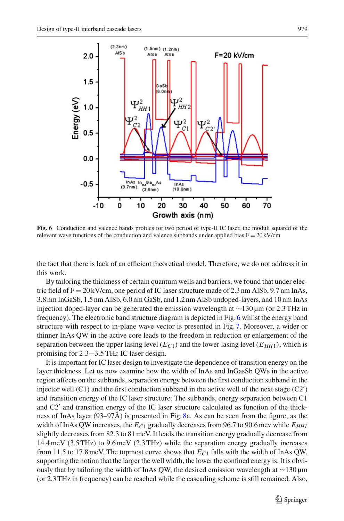

<span id="page-6-0"></span>**Fig. 6** Conduction and valence bands profiles for two period of type-II IC laser, the moduli squared of the relevant wave functions of the conduction and valence subbands under applied bias  $F = 20 \text{ kV/cm}$ 

the fact that there is lack of an efficient theoretical model. Therefore, we do not address it in this work.

By tailoring the thickness of certain quantum wells and barriers, we found that under electric field of  $F = 20$  kV/cm, one period of IC laser structure made of 2.3 nm AlSb, 9.7 nm InAs, 3.8 nm InGaSb, 1.5 nm AlSb, 6.0 nm GaSb, and 1.2 nm AlSb undoped-layers, and 10 nm InAs injection doped-layer can be generated the emission wavelength at ∼130 µm (or 2.3 THz in frequency). The electronic band structure diagram is depicted in Fig. [6](#page-6-0) whilst the energy band structure with respect to in-plane wave vector is presented in Fig. [7.](#page-7-0) Moreover, a wider or thinner InAs QW in the active core leads to the freedom in reduction or enlargement of the separation between the upper lasing level  $(E_C)$  and the lower lasing level  $(E_{HH1})$ , which is promising for 2.3−3.5 TH*z* IC laser design.

It is important for IC laser design to investigate the dependence of transition energy on the layer thickness. Let us now examine how the width of InAs and InGasSb QWs in the active region affects on the subbands, separation energy between the first conduction subband in the injector well  $(C1)$  and the first conduction subband in the active well of the next stage  $(C2')$ and transition energy of the IC laser structure. The subbands, energy separation between C1 and C2 and transition energy of the IC laser structure calculated as function of the thickness of InAs layer (93–97Å) is presented in Fig. [8a](#page-7-1). As can be seen from the figure, as the width of InAs QW increases, the  $E_{C1}$  gradually decreases from 96.7 to 90.6 mev while  $E_{HH1}$ slightly decreases from 82.3 to 81meV. It leads the transition energy gradually decrease from 14.4meV (3.5 THz) to 9.6meV (2.3 THz) while the separation energy gradually increases from 11.5 to 17.8meV. The topmost curve shows that *EC*<sup>1</sup> falls with the width of InAs QW, supporting the notion that the larger the well width, the lower the confined energy is. It is obviously that by tailoring the width of InAs QW, the desired emission wavelength at ∼130 µm (or 2.3 THz in frequency) can be reached while the cascading scheme is still remained. Also,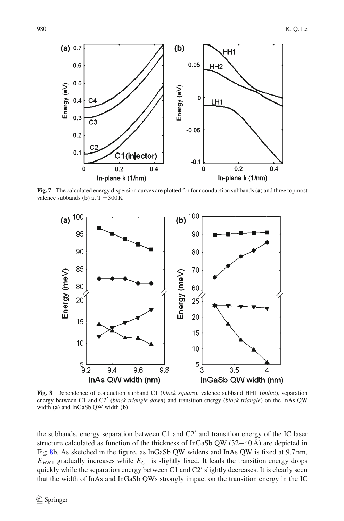

<span id="page-7-0"></span>**Fig. 7** The calculated energy dispersion curves are plotted for four conduction subbands (**a**) and three topmost valence subbands (**b**) at  $T = 300$  K



<span id="page-7-1"></span>**Fig. 8** Dependence of conduction subband C1 (*black square*), valence subband HH1 (*bullet*), separation energy between C1 and C2' (*black triangle down*) and transition energy (*black triangle*) on the InAs QW width (**a**) and InGaSb QW width (**b**)

the subbands, energy separation between C1 and  $C2'$  and transition energy of the IC laser structure calculated as function of the thickness of InGaSb QW (32−40 Å) are depicted in Fig. [8b](#page-7-1). As sketched in the figure, as InGaSb QW widens and InAs QW is fixed at 9.7 nm,  $E_{HH1}$  gradually increases while  $E_{C1}$  is slightly fixed. It leads the transition energy drops quickly while the separation energy between C1 and C2' slightly decreases. It is clearly seen that the width of InAs and InGaSb QWs strongly impact on the transition energy in the IC